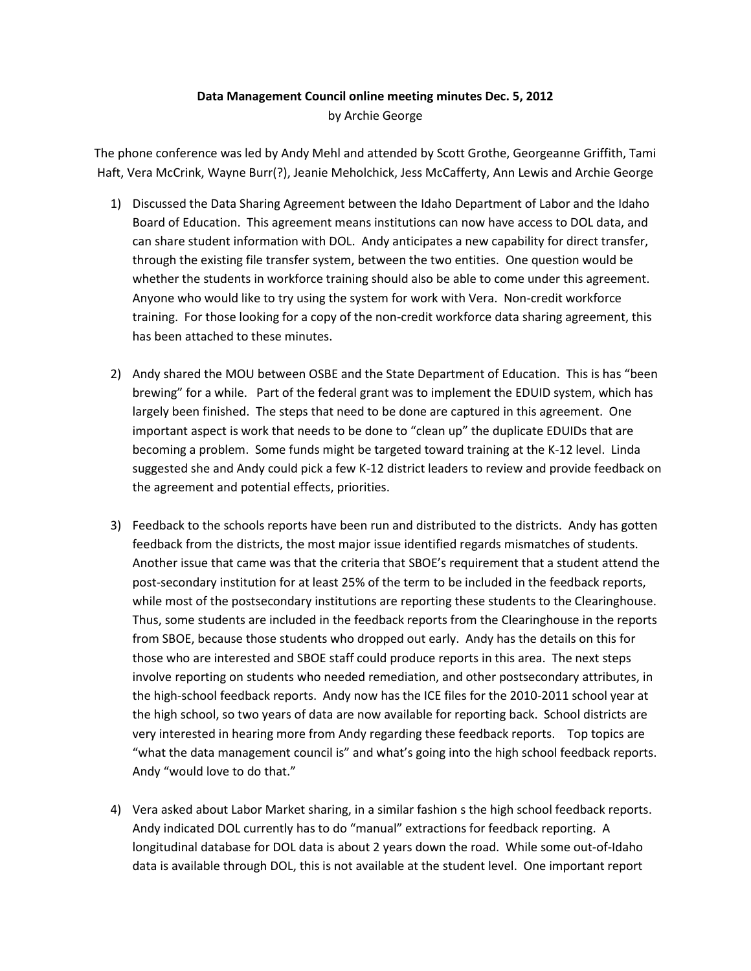## **Data Management Council online meeting minutes Dec. 5, 2012** by Archie George

The phone conference was led by Andy Mehl and attended by Scott Grothe, Georgeanne Griffith, Tami Haft, Vera McCrink, Wayne Burr(?), Jeanie Meholchick, Jess McCafferty, Ann Lewis and Archie George

- 1) Discussed the Data Sharing Agreement between the Idaho Department of Labor and the Idaho Board of Education. This agreement means institutions can now have access to DOL data, and can share student information with DOL. Andy anticipates a new capability for direct transfer, through the existing file transfer system, between the two entities. One question would be whether the students in workforce training should also be able to come under this agreement. Anyone who would like to try using the system for work with Vera. Non-credit workforce training. For those looking for a copy of the non-credit workforce data sharing agreement, this has been attached to these minutes.
- 2) Andy shared the MOU between OSBE and the State Department of Education. This is has "been brewing" for a while. Part of the federal grant was to implement the EDUID system, which has largely been finished. The steps that need to be done are captured in this agreement. One important aspect is work that needs to be done to "clean up" the duplicate EDUIDs that are becoming a problem. Some funds might be targeted toward training at the K-12 level. Linda suggested she and Andy could pick a few K-12 district leaders to review and provide feedback on the agreement and potential effects, priorities.
- 3) Feedback to the schools reports have been run and distributed to the districts. Andy has gotten feedback from the districts, the most major issue identified regards mismatches of students. Another issue that came was that the criteria that SBOE's requirement that a student attend the post-secondary institution for at least 25% of the term to be included in the feedback reports, while most of the postsecondary institutions are reporting these students to the Clearinghouse. Thus, some students are included in the feedback reports from the Clearinghouse in the reports from SBOE, because those students who dropped out early. Andy has the details on this for those who are interested and SBOE staff could produce reports in this area. The next steps involve reporting on students who needed remediation, and other postsecondary attributes, in the high-school feedback reports. Andy now has the ICE files for the 2010-2011 school year at the high school, so two years of data are now available for reporting back. School districts are very interested in hearing more from Andy regarding these feedback reports. Top topics are "what the data management council is" and what's going into the high school feedback reports. Andy "would love to do that."
- 4) Vera asked about Labor Market sharing, in a similar fashion s the high school feedback reports. Andy indicated DOL currently has to do "manual" extractions for feedback reporting. A longitudinal database for DOL data is about 2 years down the road. While some out-of-Idaho data is available through DOL, this is not available at the student level. One important report